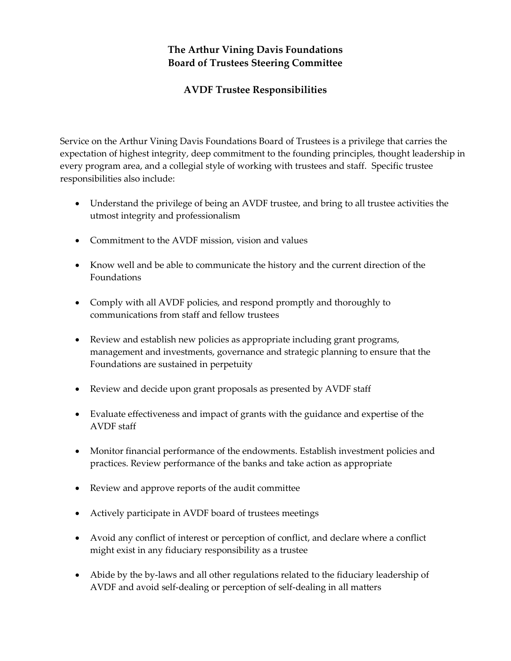## **The Arthur Vining Davis Foundations Board of Trustees Steering Committee**

## **AVDF Trustee Responsibilities**

Service on the Arthur Vining Davis Foundations Board of Trustees is a privilege that carries the expectation of highest integrity, deep commitment to the founding principles, thought leadership in every program area, and a collegial style of working with trustees and staff. Specific trustee responsibilities also include:

- Understand the privilege of being an AVDF trustee, and bring to all trustee activities the utmost integrity and professionalism
- Commitment to the AVDF mission, vision and values
- Know well and be able to communicate the history and the current direction of the Foundations
- Comply with all AVDF policies, and respond promptly and thoroughly to communications from staff and fellow trustees
- Review and establish new policies as appropriate including grant programs, management and investments, governance and strategic planning to ensure that the Foundations are sustained in perpetuity
- Review and decide upon grant proposals as presented by AVDF staff
- Evaluate effectiveness and impact of grants with the guidance and expertise of the AVDF staff
- Monitor financial performance of the endowments. Establish investment policies and practices. Review performance of the banks and take action as appropriate
- Review and approve reports of the audit committee
- Actively participate in AVDF board of trustees meetings
- Avoid any conflict of interest or perception of conflict, and declare where a conflict might exist in any fiduciary responsibility as a trustee
- Abide by the by-laws and all other regulations related to the fiduciary leadership of AVDF and avoid self-dealing or perception of self-dealing in all matters